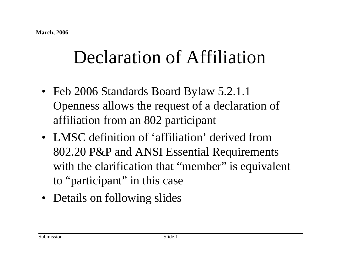## Declaration of Affiliation

- Feb 2006 Standards Board Bylaw 5.2.1.1 Openness allows the request of a declaration of affiliation from an 802 participant
- LMSC definition of 'affiliation' derived from 802.20 P&P and ANSI Essential Requirements with the clarification that "member" is equivalent to "participant" in this case
- Details on following slides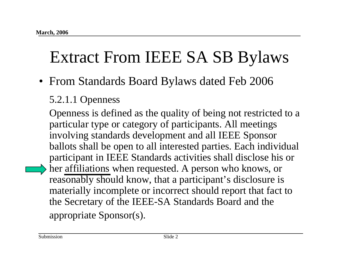## Extract From IEEE SA SB Bylaws

• From Standards Board Bylaws dated Feb 2006

#### 5.2.1.1 Openness

Openness is defined as the quality of being not restricted to a particular type or category of participants. All meetings involving standards development and all IEEE Sponsor ballots shall be open to all interested parties. Each individual participant in IEEE Standards activities shall disclose his or her affiliations when requested. A person who knows, or reasonably should know, that a participant's disclosure is materially incomplete or incorrect should report that fact to the Secretary of the IEEE-SA Standards Board and the appropriate Sponsor(s).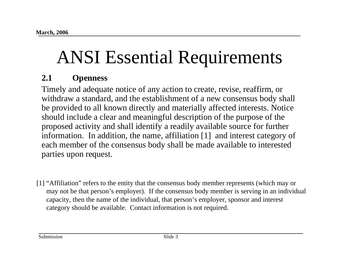# ANSI Essential Requirements

#### **2.1 Openness**

Timely and adequate notice of any action to create, revise, reaffirm, or withdraw a standard, and the establishment of a new consensus body shall be provided to all known directly and materially affected interests. Notice should include a clear and meaningful description of the purpose of the proposed activity and shall identify a readily available source for further information. In addition, the name, affiliation [1] and interest category of each member of the consensus body shall be made available to interested parties upon request.

[1] "Affiliation" refers to the entity that the consensus body member represents (which may or may not be that person's employer). If the consensus body member is serving in an individual capacity, then the name of the individual, that person's employer, sponsor and interest category should be available. Contact information is not required.